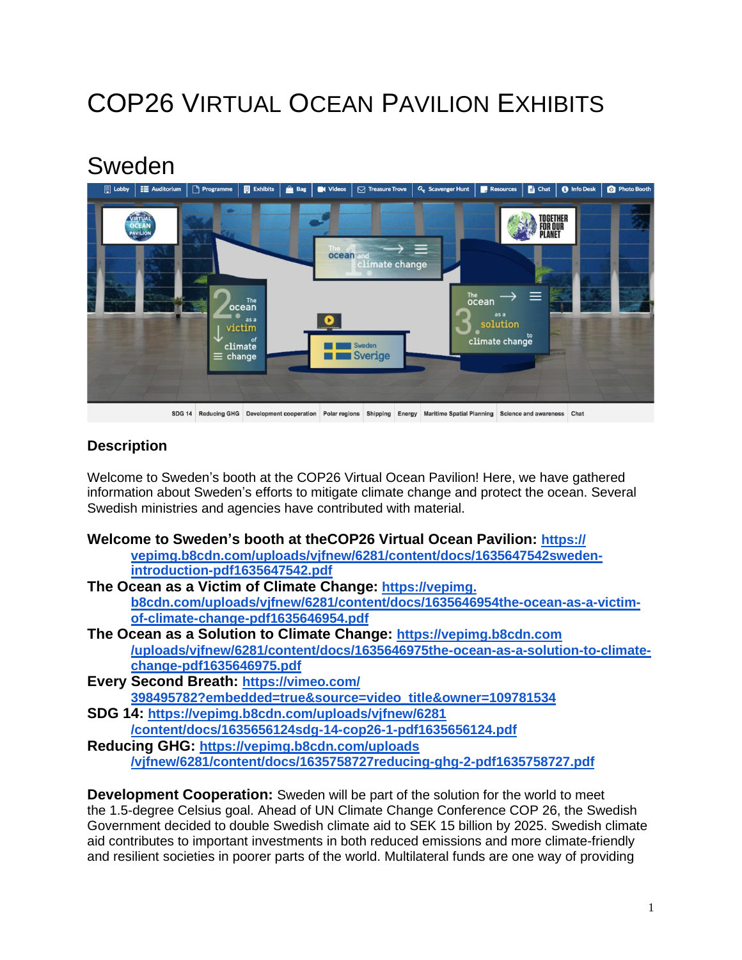# COP26 VIRTUAL OCEAN PAVILION EXHIBITS

## Sweden



### **Description**

Welcome to Sweden's booth at the COP26 Virtual Ocean Pavilion! Here, we have gathered information about Sweden's efforts to mitigate climate change and protect the ocean. Several Swedish ministries and agencies have contributed with material.

- **Welcome to Sweden's booth at theCOP26 Virtual Ocean Pavilion: [https://](https://vepimg.b8cdn.com/uploads/vjfnew/6281/content/docs/1635647542sweden-introduction-pdf1635647542.pdf) vepimg.b8cdn.com/uploads/vjfnew/6281/content/docs/1635647542swedenintroduction-pdf1635647542.pdf The Ocean as a Victim of Climate Change: [https://vepimg.](https://vepimg.b8cdn.com/uploads/vjfnew/6281/content/docs/1635646954the-ocean-as-a-victim-of-climate-change-pdf1635646954.pdf)**
- **[b8cdn.com/uploads/vjfnew/6281/content/docs/1635646954the-ocean-as-a-victim](https://vepimg.b8cdn.com/uploads/vjfnew/6281/content/docs/1635646954the-ocean-as-a-victim-of-climate-change-pdf1635646954.pdf)[of-climate-change-pdf1635646954.pdf](https://vepimg.b8cdn.com/uploads/vjfnew/6281/content/docs/1635646954the-ocean-as-a-victim-of-climate-change-pdf1635646954.pdf)**
- **The Ocean as a Solution to Climate Change: [https://vepimg.b8cdn.com](https://vepimg.b8cdn.com/uploads/vjfnew/6281/content/docs/1635646975the-ocean-as-a-solution-to-climate-change-pdf1635646975.pdf) [/uploads/vjfnew/6281/content/docs/1635646975the-ocean-as-a-solution-to-climate](https://vepimg.b8cdn.com/uploads/vjfnew/6281/content/docs/1635646975the-ocean-as-a-solution-to-climate-change-pdf1635646975.pdf)[change-pdf1635646975.pdf](https://vepimg.b8cdn.com/uploads/vjfnew/6281/content/docs/1635646975the-ocean-as-a-solution-to-climate-change-pdf1635646975.pdf)**
- **Every Second Breath: [https://vimeo.com/](https://vimeo.com/398495782?embedded=true&source=video_title&owner=109781534) [398495782?embedded=true&source=video\\_title&owner=109781534](https://vimeo.com/398495782?embedded=true&source=video_title&owner=109781534)**
- **SDG 14: [https://vepimg.b8cdn.com/uploads/vjfnew/6281](https://vepimg.b8cdn.com/uploads/vjfnew/6281/content/docs/1635656124sdg-14-cop26-1-pdf1635656124.pdf) [/content/docs/1635656124sdg-14-cop26-1-pdf1635656124.pdf](https://vepimg.b8cdn.com/uploads/vjfnew/6281/content/docs/1635656124sdg-14-cop26-1-pdf1635656124.pdf)**
- **Reducing GHG: [https://vepimg.b8cdn.com/uploads](https://vepimg.b8cdn.com/uploads/vjfnew/6281/content/docs/1635758727reducing-ghg-2-pdf1635758727.pdf) [/vjfnew/6281/content/docs/1635758727reducing-ghg-2-pdf1635758727.pdf](https://vepimg.b8cdn.com/uploads/vjfnew/6281/content/docs/1635758727reducing-ghg-2-pdf1635758727.pdf)**

**Development Cooperation:** Sweden will be part of the solution for the world to meet the 1.5-degree Celsius goal. Ahead of UN Climate Change Conference COP 26, the Swedish Government decided to double Swedish climate aid to SEK 15 billion by 2025. Swedish climate aid contributes to important investments in both reduced emissions and more climate-friendly and resilient societies in poorer parts of the world. Multilateral funds are one way of providing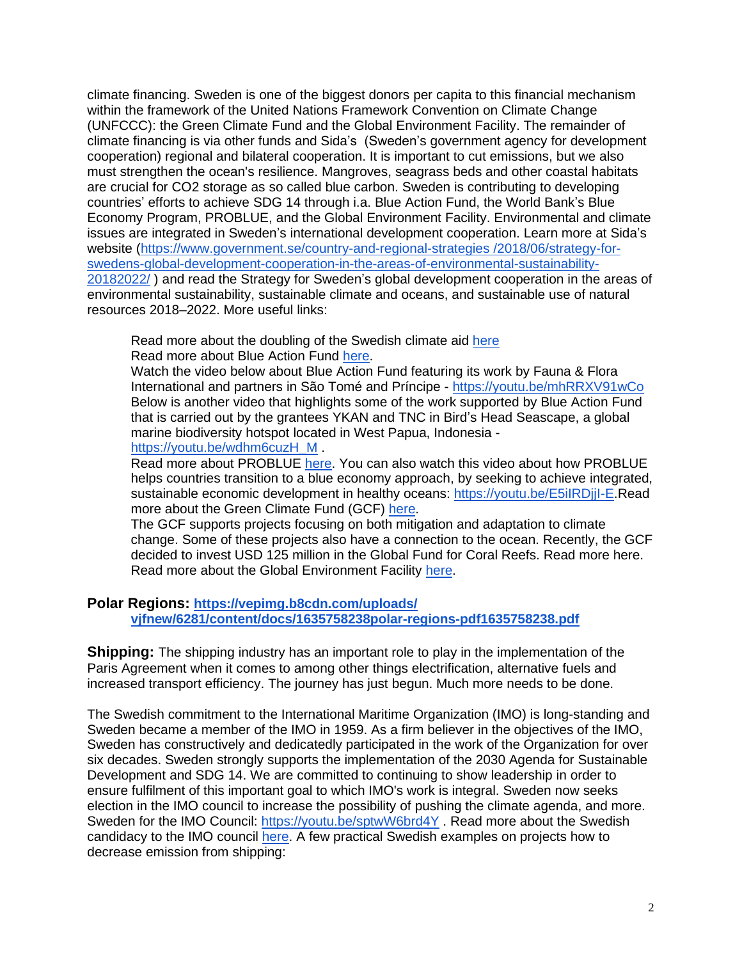climate financing. Sweden is one of the biggest donors per capita to this financial mechanism within the framework of the United Nations Framework Convention on Climate Change (UNFCCC): the Green Climate Fund and the Global Environment Facility. The remainder of climate financing is via other funds and Sida's (Sweden's government agency for development cooperation) regional and bilateral cooperation. It is important to cut emissions, but we also must strengthen the ocean's resilience. Mangroves, seagrass beds and other coastal habitats are crucial for CO2 storage as so called blue carbon. Sweden is contributing to developing countries' efforts to achieve SDG 14 through i.a. Blue Action Fund, the World Bank's Blue Economy Program, PROBLUE, and the Global Environment Facility. Environmental and climate issues are integrated in Sweden's international development cooperation. Learn more at Sida's website [\(https://www.government.se/country-and-regional-strategies](https://www.government.se/country-and-regional-strategies/2018/06/strategy-for-swedens-global-development-cooperation-in-the-areas-of-environmental-sustainability-20182022/) /2018/06/strategy-for[swedens-global-development-cooperation-in-the-areas-of-environmental-sustainability-](https://www.government.se/country-and-regional-strategies/2018/06/strategy-for-swedens-global-development-cooperation-in-the-areas-of-environmental-sustainability-20182022/)[20182022/](https://www.government.se/country-and-regional-strategies/2018/06/strategy-for-swedens-global-development-cooperation-in-the-areas-of-environmental-sustainability-20182022/) ) and read the Strategy for Sweden's global development cooperation in the areas of environmental sustainability, sustainable climate and oceans, and sustainable use of natural resources 2018–2022. More useful links:

Read more about the doubling of the Swedish climate aid [here](https://www.government.se/press-releases/2021/10/ahead-of-un-climate-change-conference-cop26-government-intends-to-double-climate-aid-by-2025/) Read more about Blue Action Fund [here.](https://www.blueactionfund.org/)

Watch the video below about Blue Action Fund featuring its work by Fauna & Flora International and partners in São Tomé and Príncipe - <https://youtu.be/mhRRXV91wCo> Below is another video that highlights some of the work supported by Blue Action Fund that is carried out by the grantees YKAN and TNC in Bird's Head Seascape, a global marine biodiversity hotspot located in West Papua, Indonesia [https://youtu.be/wdhm6cuzH\\_M](https://youtu.be/wdhm6cuzH_M) .

Read more about PROBLUE [here.](https://www.worldbank.org/en/programs/problue) You can also watch this video about how PROBLUE helps countries transition to a blue economy approach, by seeking to achieve integrated, sustainable economic development in healthy oceans: https://youtu.be/E5ilRDjjl-E.Read more about the Green Climate Fund (GCF) [here.](https://www.greenclimate.fund/)

The GCF supports projects focusing on both mitigation and adaptation to climate change. Some of these projects also have a connection to the ocean. Recently, the GCF decided to invest USD 125 million in the Global Fund for Coral Reefs. Read more here. Read more about the Global Environment Facility [here.](https://www.thegef.org/)

#### **Polar Regions: [https://vepimg.b8cdn.com/uploads/](https://vepimg.b8cdn.com/uploads/vjfnew/6281/content/docs/1635758238polar-regions-pdf1635758238.pdf) [vjfnew/6281/content/docs/1635758238polar-regions-pdf1635758238.pdf](https://vepimg.b8cdn.com/uploads/vjfnew/6281/content/docs/1635758238polar-regions-pdf1635758238.pdf)**

**Shipping:** The shipping industry has an important role to play in the implementation of the Paris Agreement when it comes to among other things electrification, alternative fuels and increased transport efficiency. The journey has just begun. Much more needs to be done.

The Swedish commitment to the International Maritime Organization (IMO) is long-standing and Sweden became a member of the IMO in 1959. As a firm believer in the objectives of the IMO, Sweden has constructively and dedicatedly participated in the work of the Organization for over six decades. Sweden strongly supports the implementation of the 2030 Agenda for Sustainable Development and SDG 14. We are committed to continuing to show leadership in order to ensure fulfilment of this important goal to which IMO's work is integral. Sweden now seeks election in the IMO council to increase the possibility of pushing the climate agenda, and more. Sweden for the IMO Council: <https://youtu.be/sptwW6brd4Y> . Read more about the Swedish candidacy to the IMO council [here.](https://transportstyrelsen.se/en/shipping/imo-council-2021/) A few practical Swedish examples on projects how to decrease emission from shipping: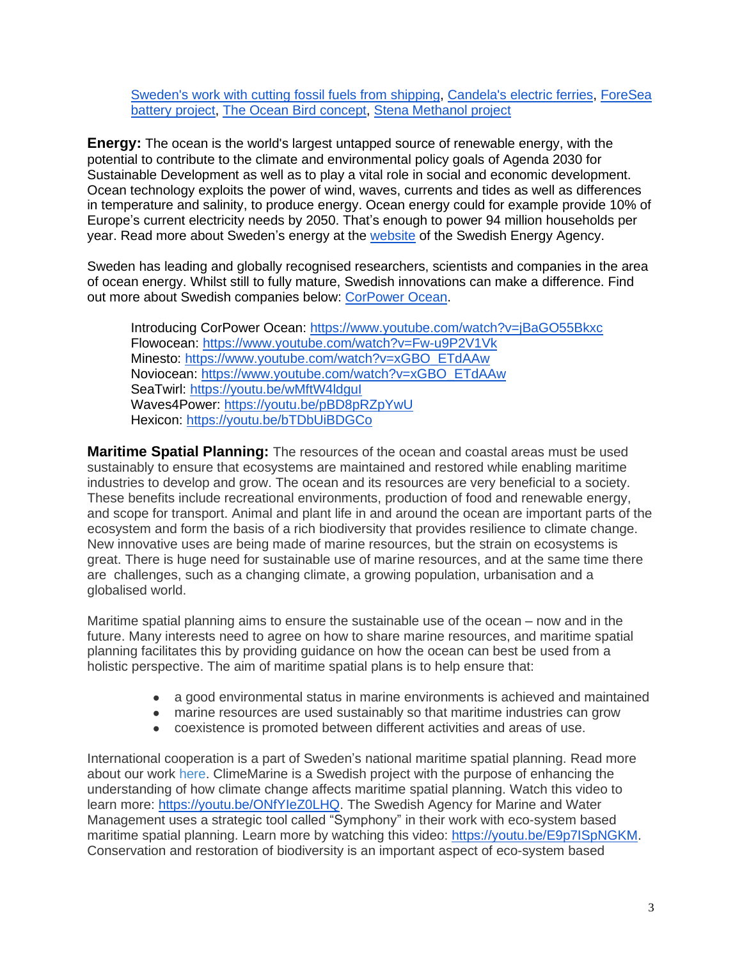[Sweden's](https://twitter.com/i/status/1327228074988081152) work with cutting fossil fuels from shipping, [Candela's](https://candela.com/public-transport/) electric ferries, [ForeSea](https://www.youtube.com/watch?v=rE_M1n-ClOA&t) battery [project,](https://www.youtube.com/watch?v=rE_M1n-ClOA&t) The Ocean Bird [concept,](https://www.walleniusmarine.com/our-services/ship-design-newbuilding/ship-design/wind-powered-vessels/) Stena [Methanol](https://www.stenaline.com/media/stories/the-worlds-first-methanol-ferry/) project

**Energy:** The ocean is the world's largest untapped source of renewable energy, with the potential to contribute to the climate and environmental policy goals of Agenda 2030 for Sustainable Development as well as to play a vital role in social and economic development. Ocean technology exploits the power of wind, waves, currents and tides as well as differences in temperature and salinity, to produce energy. Ocean energy could for example provide 10% of Europe's current electricity needs by 2050. That's enough to power 94 million households per year. Read more about Sweden's energy at the [website](http://www.energimyndigheten.se/en/) of the Swedish Energy Agency.

Sweden has leading and globally recognised researchers, scientists and companies in the area of ocean energy. Whilst still to fully mature, Swedish innovations can make a difference. Find out more about Swedish companies below: [CorPower](https://www.corpowerocean.com/) Ocean.

Introducing CorPower Ocean: <https://www.youtube.com/watch?v=jBaGO55Bkxc> Flowocean: <https://www.youtube.com/watch?v=Fw-u9P2V1Vk> Minesto: [https://www.youtube.com/watch?v=xGBO\\_ETdAAw](https://www.youtube.com/watch?v=xGBO_ETdAAw) Noviocean: [https://www.youtube.com/watch?v=xGBO\\_ETdAAw](https://www.youtube.com/watch?v=xGBO_ETdAAw) SeaTwirl: https://youtu.be/wMftW4ldgul Waves4Power: <https://youtu.be/pBD8pRZpYwU> Hexicon: <https://youtu.be/bTDbUiBDGCo>

**Maritime Spatial Planning:** The resources of the ocean and coastal areas must be used sustainably to ensure that ecosystems are maintained and restored while enabling maritime industries to develop and grow. The ocean and its resources are very beneficial to a society. These benefits include recreational environments, production of food and renewable energy, and scope for transport. Animal and plant life in and around the ocean are important parts of the ecosystem and form the basis of a rich biodiversity that provides resilience to climate change. New innovative uses are being made of marine resources, but the strain on ecosystems is great. There is huge need for sustainable use of marine resources, and at the same time there are challenges, such as a changing climate, a growing population, urbanisation and a globalised world.

Maritime spatial planning aims to ensure the sustainable use of the ocean – now and in the future. Many interests need to agree on how to share marine resources, and maritime spatial planning facilitates this by providing guidance on how the ocean can best be used from a holistic perspective. The aim of maritime spatial plans is to help ensure that:

- a good environmental status in marine environments is achieved and maintained
- marine resources are used sustainably so that maritime industries can grow
- coexistence is promoted between different activities and areas of use.

International cooperation is a part of Sweden's national maritime spatial planning. Read more about our work [here.](https://www.havochvatten.se/en/eu-and-international/marine-spatial-planning.html) ClimeMarine is a Swedish project with the purpose of enhancing the understanding of how climate change affects maritime spatial planning. Watch this video to learn more: [https://youtu.be/ONfYIeZ0LHQ.](https://youtu.be/ONfYIeZ0LHQ) The Swedish Agency for Marine and Water Management uses a strategic tool called "Symphony" in their work with eco-system based maritime spatial planning. Learn more by watching this video: [https://youtu.be/E9p7ISpNGKM.](https://youtu.be/E9p7ISpNGKM) Conservation and restoration of biodiversity is an important aspect of eco-system based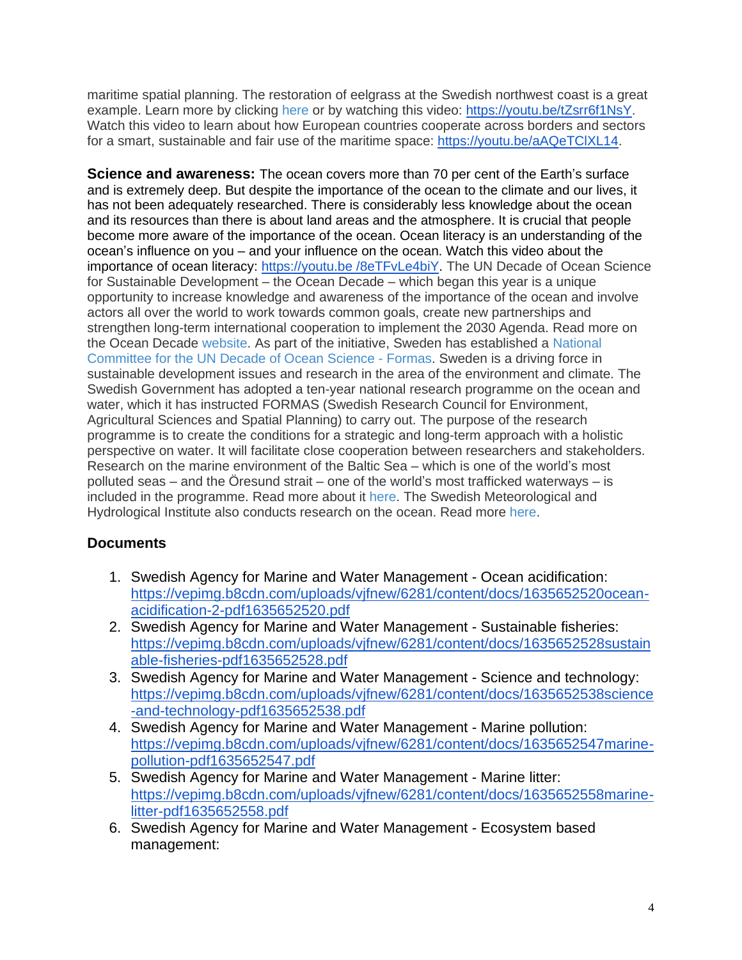maritime spatial planning. The restoration of eelgrass at the Swedish northwest coast is a great example. Learn more by clicking [here](https://www.havochvatten.se/en/our-organization/publications/swam-publications/2021-03-16-handbook-for-restoration-of-eelgrass-in-sweden.html) or by watching this video: [https://youtu.be/tZsrr6f1NsY.](https://youtu.be/tZsrr6f1NsY) Watch this video to learn about how European countries cooperate across borders and sectors for a smart, sustainable and fair use of the maritime space: [https://youtu.be/aAQeTClXL14.](https://youtu.be/aAQeTClXL14)

**Science and awareness:** The ocean covers more than 70 per cent of the Earth's surface and is extremely deep. But despite the importance of the ocean to the climate and our lives, it has not been adequately researched. There is considerably less knowledge about the ocean and its resources than there is about land areas and the atmosphere. It is crucial that people become more aware of the importance of the ocean. Ocean literacy is an understanding of the ocean's influence on you – and your influence on the ocean. Watch this video about the importance of ocean literacy: [https://youtu.be](https://youtu.be/8eTFvLe4biY) /8eTFvLe4biY. The UN Decade of Ocean Science for Sustainable Development – the Ocean Decade – which began this year is a unique opportunity to increase knowledge and awareness of the importance of the ocean and involve actors all over the world to work towards common goals, create new partnerships and strengthen long-term international cooperation to implement the 2030 Agenda. Read more on the Ocean Decade [website.](https://www.oceandecade.org/decade-events/) As part of the initiative, Sweden has established a [National](https://www.formas.se/en/start-page/about-formas/what-we-do/national-committee-for-the-un-decade-of-ocean-science.html) [Committee](https://www.formas.se/en/start-page/about-formas/what-we-do/national-committee-for-the-un-decade-of-ocean-science.html) for the UN Decade of Ocean Science - Formas. Sweden is a driving force in sustainable development issues and research in the area of the environment and climate. The Swedish Government has adopted a ten-year national research programme on the ocean and water, which it has instructed FORMAS (Swedish Research Council for Environment, Agricultural Sciences and Spatial Planning) to carry out. The purpose of the research programme is to create the conditions for a strategic and long-term approach with a holistic perspective on water. It will facilitate close cooperation between researchers and stakeholders. Research on the marine environment of the Baltic Sea – which is one of the world's most polluted seas – and the Öresund strait – one of the world's most trafficked waterways – is included in the programme. Read more about it [here.](https://formas.se/en/start-page.html) The Swedish Meteorological and Hydrological Institute also conducts research on the ocean. Read more [here.](https://ddei5-0-ctp.trendmicro.com/wis/clicktime/v1/query?url=https%253a%252f%252fwww.smhi.se%252fen%252fresearch%252fresearch%252ddepartments%252foceanography&umid=EEE277C0-CF2F-7005-B93C-0C9303F2701F&auth=aa2a6666dadc3109e072cd23e72dcb4db4081a53-dd8f104c87a1fc4880fac549a849eadf016804bb)

### **Documents**

- 1. Swedish Agency for Marine and Water Management Ocean acidification: [https://vepimg.b8cdn.com/uploads/vjfnew/6281/content/docs/1635652520ocean](https://vepimg.b8cdn.com/uploads/vjfnew/6281/content/docs/1635652520ocean-acidification-2-pdf1635652520.pdf)[acidification-2-pdf1635652520.pdf](https://vepimg.b8cdn.com/uploads/vjfnew/6281/content/docs/1635652520ocean-acidification-2-pdf1635652520.pdf)
- 2. Swedish Agency for Marine and Water Management Sustainable fisheries: [https://vepimg.b8cdn.com/uploads/vjfnew/6281/content/docs/1635652528sustain](https://vepimg.b8cdn.com/uploads/vjfnew/6281/content/docs/1635652528sustainable-fisheries-pdf1635652528.pdf) [able-fisheries-pdf1635652528.pdf](https://vepimg.b8cdn.com/uploads/vjfnew/6281/content/docs/1635652528sustainable-fisheries-pdf1635652528.pdf)
- 3. Swedish Agency for Marine and Water Management Science and technology: [https://vepimg.b8cdn.com/uploads/vjfnew/6281/content/docs/1635652538science](https://vepimg.b8cdn.com/uploads/vjfnew/6281/content/docs/1635652538science-and-technology-pdf1635652538.pdf) [-and-technology-pdf1635652538.pdf](https://vepimg.b8cdn.com/uploads/vjfnew/6281/content/docs/1635652538science-and-technology-pdf1635652538.pdf)
- 4. Swedish Agency for Marine and Water Management Marine pollution: [https://vepimg.b8cdn.com/uploads/vjfnew/6281/content/docs/1635652547marine](https://vepimg.b8cdn.com/uploads/vjfnew/6281/content/docs/1635652547marine-pollution-pdf1635652547.pdf)[pollution-pdf1635652547.pdf](https://vepimg.b8cdn.com/uploads/vjfnew/6281/content/docs/1635652547marine-pollution-pdf1635652547.pdf)
- 5. Swedish Agency for Marine and Water Management Marine litter: [https://vepimg.b8cdn.com/uploads/vjfnew/6281/content/docs/1635652558marine](https://vepimg.b8cdn.com/uploads/vjfnew/6281/content/docs/1635652558marine-litter-pdf1635652558.pdf)[litter-pdf1635652558.pdf](https://vepimg.b8cdn.com/uploads/vjfnew/6281/content/docs/1635652558marine-litter-pdf1635652558.pdf)
- 6. Swedish Agency for Marine and Water Management Ecosystem based management: